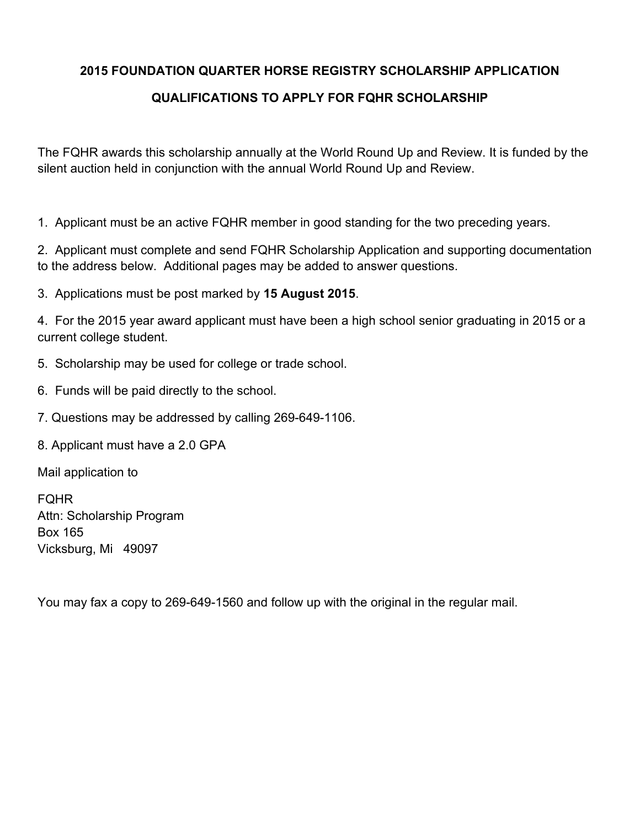## **2015 FOUNDATION QUARTER HORSE REGISTRY SCHOLARSHIP APPLICATION**

## **QUALIFICATIONS TO APPLY FOR FQHR SCHOLARSHIP**

The FQHR awards this scholarship annually at the World Round Up and Review. It is funded by the silent auction held in conjunction with the annual World Round Up and Review.

1. Applicant must be an active FQHR member in good standing for the two preceding years.

2. Applicant must complete and send FQHR Scholarship Application and supporting documentation to the address below. Additional pages may be added to answer questions.

3. Applications must be post marked by **15 August 2015**.

4. For the 2015 year award applicant must have been a high school senior graduating in 2015 or a current college student.

- 5. Scholarship may be used for college or trade school.
- 6. Funds will be paid directly to the school.
- 7. Questions may be addressed by calling 269-649-1106.
- 8. Applicant must have a 2.0 GPA

Mail application to

FQHR Attn: Scholarship Program Box 165 Vicksburg, Mi 49097

You may fax a copy to 269-649-1560 and follow up with the original in the regular mail.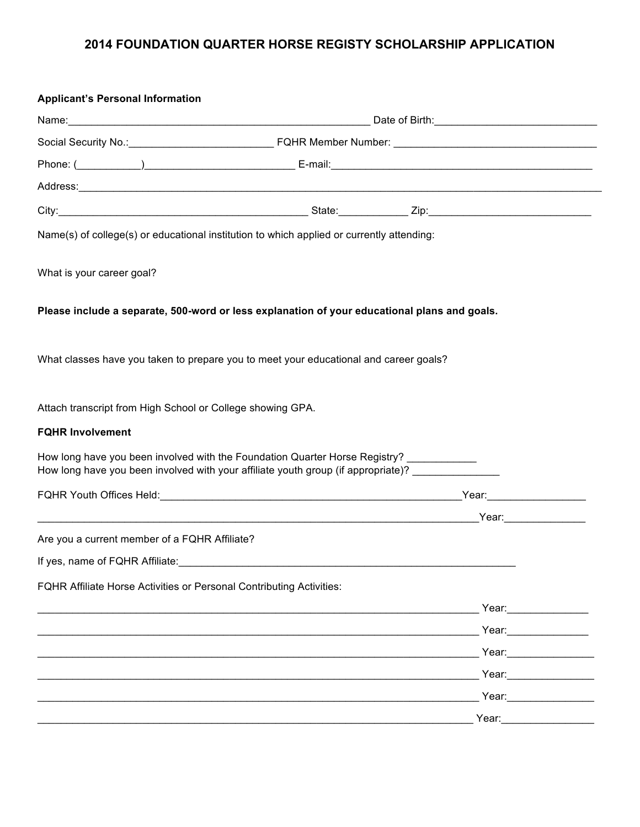## **2014 FOUNDATION QUARTER HORSE REGISTY SCHOLARSHIP APPLICATION**

| <b>Applicant's Personal Information</b>                                                                                                                                     |  |                                                                                                                                                                                                                                      |  |
|-----------------------------------------------------------------------------------------------------------------------------------------------------------------------------|--|--------------------------------------------------------------------------------------------------------------------------------------------------------------------------------------------------------------------------------------|--|
|                                                                                                                                                                             |  |                                                                                                                                                                                                                                      |  |
|                                                                                                                                                                             |  |                                                                                                                                                                                                                                      |  |
|                                                                                                                                                                             |  |                                                                                                                                                                                                                                      |  |
|                                                                                                                                                                             |  | Address: Address: Address: Address: Address: Address: Address: Address: Address: Address: Address: Address: Address: Address: Address: Address: Address: Address: Address: Address: Address: Address: Address: Address: Addres       |  |
|                                                                                                                                                                             |  |                                                                                                                                                                                                                                      |  |
| Name(s) of college(s) or educational institution to which applied or currently attending:                                                                                   |  |                                                                                                                                                                                                                                      |  |
| What is your career goal?                                                                                                                                                   |  |                                                                                                                                                                                                                                      |  |
| Please include a separate, 500-word or less explanation of your educational plans and goals.                                                                                |  |                                                                                                                                                                                                                                      |  |
| What classes have you taken to prepare you to meet your educational and career goals?                                                                                       |  |                                                                                                                                                                                                                                      |  |
| Attach transcript from High School or College showing GPA.                                                                                                                  |  |                                                                                                                                                                                                                                      |  |
| <b>FQHR Involvement</b>                                                                                                                                                     |  |                                                                                                                                                                                                                                      |  |
| How long have you been involved with the Foundation Quarter Horse Registry? __________<br>How long have you been involved with your affiliate youth group (if appropriate)? |  |                                                                                                                                                                                                                                      |  |
|                                                                                                                                                                             |  |                                                                                                                                                                                                                                      |  |
|                                                                                                                                                                             |  |                                                                                                                                                                                                                                      |  |
| Are you a current member of a FQHR Affiliate?                                                                                                                               |  |                                                                                                                                                                                                                                      |  |
| If yes, name of FQHR Affiliate:                                                                                                                                             |  |                                                                                                                                                                                                                                      |  |
| FQHR Affiliate Horse Activities or Personal Contributing Activities:                                                                                                        |  |                                                                                                                                                                                                                                      |  |
|                                                                                                                                                                             |  | Year:                                                                                                                                                                                                                                |  |
|                                                                                                                                                                             |  | Year: The Contract of the Contract of the Contract of the Contract of the Contract of the Contract of the Contract of the Contract of the Contract of the Contract of the Contract of the Contract of the Contract of the Cont       |  |
|                                                                                                                                                                             |  | Year: 1988                                                                                                                                                                                                                           |  |
|                                                                                                                                                                             |  | Year: 1990 1991                                                                                                                                                                                                                      |  |
|                                                                                                                                                                             |  |                                                                                                                                                                                                                                      |  |
|                                                                                                                                                                             |  | <u>Products and the contract of the contract of the Products of the Contract of the Contract of the Contract of the Contract of the Contract of the Contract of the Contract of the Contract of the Contract of the Contract of </u> |  |